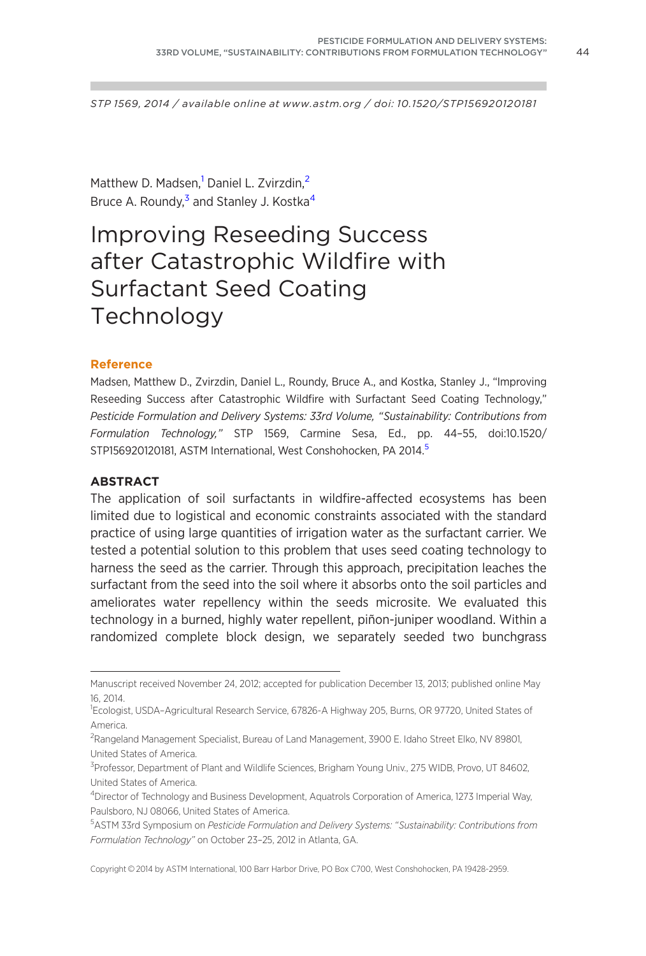STP 1569, 2014 / available online at www.astm.org / doi: 10.1520/STP156920120181

Matthew D. Madsen,<sup>1</sup> Daniel L. Zvirzdin,<sup>2</sup> Bruce A. Roundy,<sup>3</sup> and Stanley J. Kostka<sup>4</sup>

# Improving Reseeding Success after Catastrophic Wildfire with Surfactant Seed Coating **Technology**

#### Reference

Madsen, Matthew D., Zvirzdin, Daniel L., Roundy, Bruce A., and Kostka, Stanley J., "Improving Reseeding Success after Catastrophic Wildfire with Surfactant Seed Coating Technology," Pesticide Formulation and Delivery Systems: 33rd Volume, "Sustainability: Contributions from Formulation Technology," STP 1569, Carmine Sesa, Ed., pp. 44–55, doi:10.1520/ STP156920120181, ASTM International, West Conshohocken, PA 2014.<sup>5</sup>

### ABSTRACT

The application of soil surfactants in wildfire-affected ecosystems has been limited due to logistical and economic constraints associated with the standard practice of using large quantities of irrigation water as the surfactant carrier. We tested a potential solution to this problem that uses seed coating technology to harness the seed as the carrier. Through this approach, precipitation leaches the surfactant from the seed into the soil where it absorbs onto the soil particles and ameliorates water repellency within the seeds microsite. We evaluated this technology in a burned, highly water repellent, piñon-juniper woodland. Within a randomized complete block design, we separately seeded two bunchgrass

Copyright © 2014 by ASTM International, 100 Barr Harbor Drive, PO Box C700, West Conshohocken, PA 19428-2959.

Manuscript received November 24, 2012; accepted for publication December 13, 2013; published online May 16, 2014.

<sup>1</sup> Ecologist, USDA–Agricultural Research Service, 67826-A Highway 205, Burns, OR 97720, United States of America.

<sup>&</sup>lt;sup>2</sup>Rangeland Management Specialist, Bureau of Land Management, 3900 E. Idaho Street Elko, NV 89801, United States of America.

<sup>&</sup>lt;sup>3</sup> Professor, Department of Plant and Wildlife Sciences, Brigham Young Univ., 275 WIDB, Provo, UT 84602, United States of America.

<sup>4</sup> Director of Technology and Business Development, Aquatrols Corporation of America, 1273 Imperial Way, Paulsboro, NJ 08066, United States of America.

<sup>5</sup> ASTM 33rd Symposium on Pesticide Formulation and Delivery Systems: "Sustainability: Contributions from Formulation Technology" on October 23–25, 2012 in Atlanta, GA.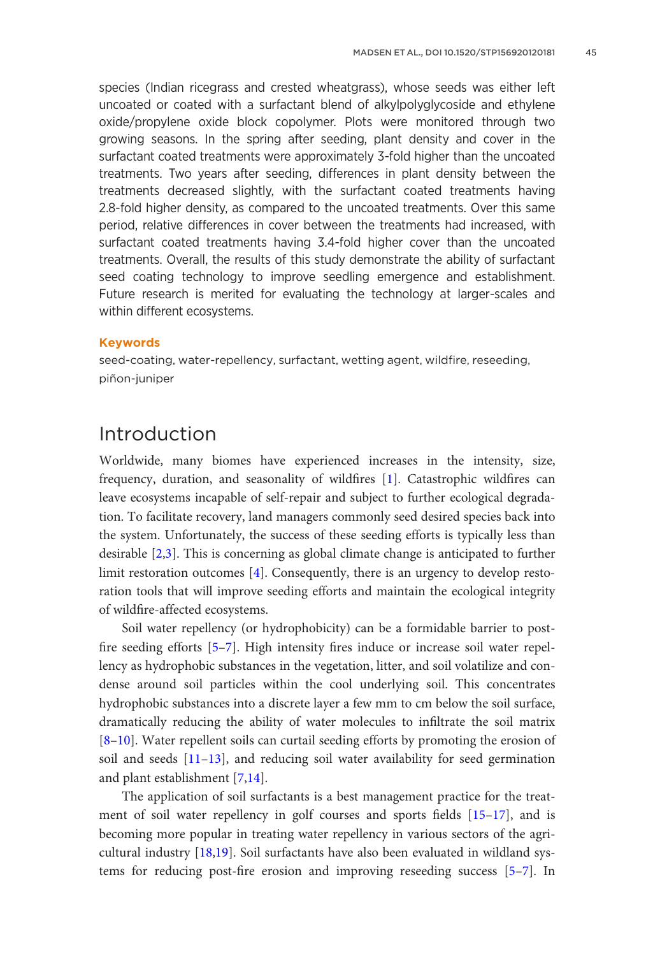species (Indian ricegrass and crested wheatgrass), whose seeds was either left uncoated or coated with a surfactant blend of alkylpolyglycoside and ethylene oxide/propylene oxide block copolymer. Plots were monitored through two growing seasons. In the spring after seeding, plant density and cover in the surfactant coated treatments were approximately 3-fold higher than the uncoated treatments. Two years after seeding, differences in plant density between the treatments decreased slightly, with the surfactant coated treatments having 2.8-fold higher density, as compared to the uncoated treatments. Over this same period, relative differences in cover between the treatments had increased, with surfactant coated treatments having 3.4-fold higher cover than the uncoated treatments. Overall, the results of this study demonstrate the ability of surfactant seed coating technology to improve seedling emergence and establishment. Future research is merited for evaluating the technology at larger-scales and within different ecosystems.

#### Keywords

seed-coating, water-repellency, surfactant, wetting agent, wildfire, reseeding, piñon-juniper

# Introduction

Worldwide, many biomes have experienced increases in the intensity, size, frequency, duration, and seasonality of wildfires [\[1\]](#page-9-0). Catastrophic wildfires can leave ecosystems incapable of self-repair and subject to further ecological degradation. To facilitate recovery, land managers commonly seed desired species back into the system. Unfortunately, the success of these seeding efforts is typically less than desirable [[2,3\]](#page-9-0). This is concerning as global climate change is anticipated to further limit restoration outcomes [[4](#page-9-0)]. Consequently, there is an urgency to develop restoration tools that will improve seeding efforts and maintain the ecological integrity of wildfire-affected ecosystems.

Soil water repellency (or hydrophobicity) can be a formidable barrier to postfire seeding efforts [[5–7\]](#page-9-0). High intensity fires induce or increase soil water repellency as hydrophobic substances in the vegetation, litter, and soil volatilize and condense around soil particles within the cool underlying soil. This concentrates hydrophobic substances into a discrete layer a few mm to cm below the soil surface, dramatically reducing the ability of water molecules to infiltrate the soil matrix [\[8–](#page-9-0)[10\]](#page-10-0). Water repellent soils can curtail seeding efforts by promoting the erosion of soil and seeds [\[11](#page-10-0)–[13](#page-10-0)], and reducing soil water availability for seed germination and plant establishment [[7](#page-9-0)[,14](#page-10-0)].

The application of soil surfactants is a best management practice for the treatment of soil water repellency in golf courses and sports fields [\[15–17](#page-10-0)], and is becoming more popular in treating water repellency in various sectors of the agricultural industry [[18,19](#page-10-0)]. Soil surfactants have also been evaluated in wildland systems for reducing post-fire erosion and improving reseeding success [[5](#page-9-0)–[7\]](#page-9-0). In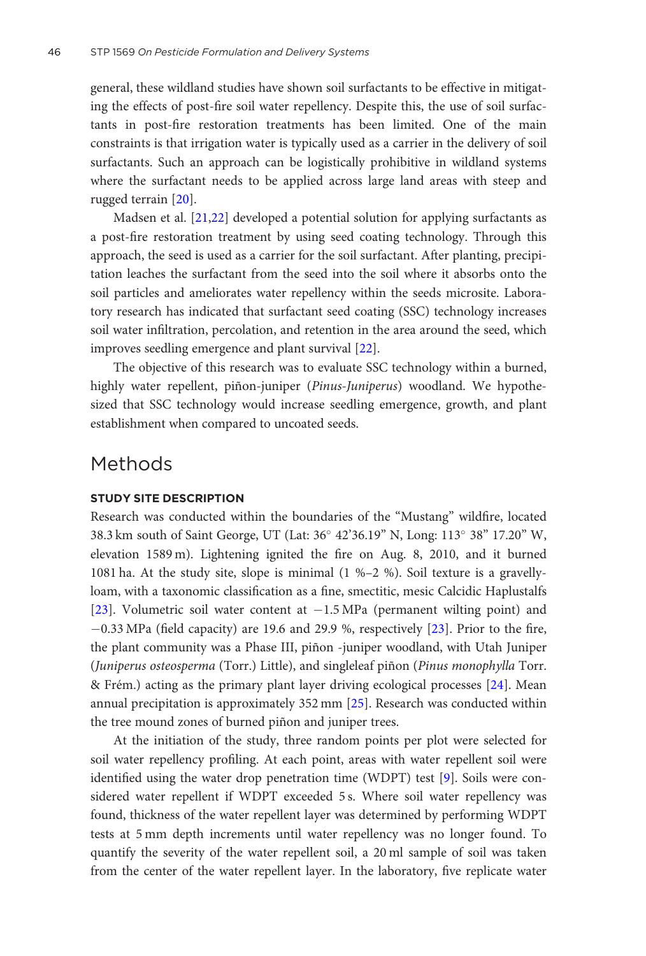general, these wildland studies have shown soil surfactants to be effective in mitigating the effects of post-fire soil water repellency. Despite this, the use of soil surfactants in post-fire restoration treatments has been limited. One of the main constraints is that irrigation water is typically used as a carrier in the delivery of soil surfactants. Such an approach can be logistically prohibitive in wildland systems where the surfactant needs to be applied across large land areas with steep and rugged terrain [[20\]](#page-10-0).

Madsen et al. [\[21,22](#page-10-0)] developed a potential solution for applying surfactants as a post-fire restoration treatment by using seed coating technology. Through this approach, the seed is used as a carrier for the soil surfactant. After planting, precipitation leaches the surfactant from the seed into the soil where it absorbs onto the soil particles and ameliorates water repellency within the seeds microsite. Laboratory research has indicated that surfactant seed coating (SSC) technology increases soil water infiltration, percolation, and retention in the area around the seed, which improves seedling emergence and plant survival [\[22](#page-10-0)].

The objective of this research was to evaluate SSC technology within a burned, highly water repellent, piñon-juniper (Pinus-Juniperus) woodland. We hypothesized that SSC technology would increase seedling emergence, growth, and plant establishment when compared to uncoated seeds.

## Methods

### STUDY SITE DESCRIPTION

Research was conducted within the boundaries of the "Mustang" wildfire, located 38.3 km south of Saint George, UT (Lat: 36° 42'36.19" N, Long: 113° 38" 17.20" W, elevation 1589 m). Lightening ignited the fire on Aug. 8, 2010, and it burned 1081 ha. At the study site, slope is minimal (1 %–2 %). Soil texture is a gravellyloam, with a taxonomic classification as a fine, smectitic, mesic Calcidic Haplustalfs [\[23](#page-10-0)]. Volumetric soil water content at  $-1.5 \text{ MPa}$  (permanent wilting point) and  $-0.33$  MPa (field capacity) are 19.6 and 29.9 %, respectively  $[23]$  $[23]$ . Prior to the fire, the plant community was a Phase III, piñon -juniper woodland, with Utah Juniper (Juniperus osteosperma (Torr.) Little), and singleleaf piñon (Pinus monophylla Torr. & Frém.) acting as the primary plant layer driving ecological processes  $[24]$  $[24]$ . Mean annual precipitation is approximately 352 mm [[25\]](#page-11-0). Research was conducted within the tree mound zones of burned piñon and juniper trees.

At the initiation of the study, three random points per plot were selected for soil water repellency profiling. At each point, areas with water repellent soil were identified using the water drop penetration time (WDPT) test [\[9\]](#page-10-0). Soils were considered water repellent if WDPT exceeded 5 s. Where soil water repellency was found, thickness of the water repellent layer was determined by performing WDPT tests at 5 mm depth increments until water repellency was no longer found. To quantify the severity of the water repellent soil, a 20 ml sample of soil was taken from the center of the water repellent layer. In the laboratory, five replicate water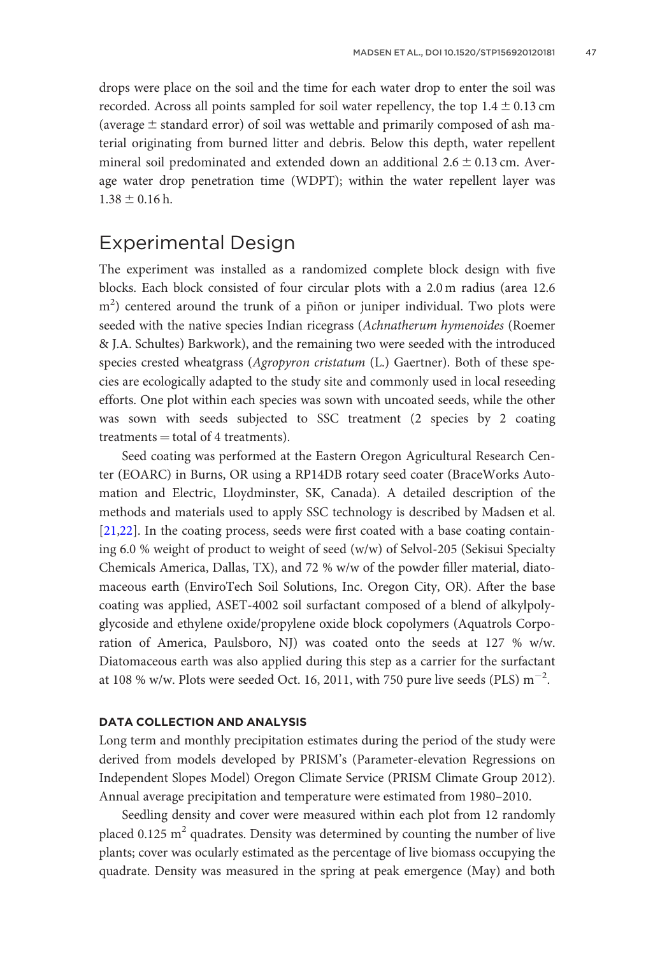drops were place on the soil and the time for each water drop to enter the soil was recorded. Across all points sampled for soil water repellency, the top  $1.4 \pm 0.13$  cm (average  $\pm$  standard error) of soil was wettable and primarily composed of ash material originating from burned litter and debris. Below this depth, water repellent mineral soil predominated and extended down an additional  $2.6 \pm 0.13$  cm. Average water drop penetration time (WDPT); within the water repellent layer was  $1.38 \pm 0.16$  h.

# Experimental Design

The experiment was installed as a randomized complete block design with five blocks. Each block consisted of four circular plots with a 2.0 m radius (area 12.6 m<sup>2</sup>) centered around the trunk of a piñon or juniper individual. Two plots were seeded with the native species Indian ricegrass (Achnatherum hymenoides (Roemer & J.A. Schultes) Barkwork), and the remaining two were seeded with the introduced species crested wheatgrass (Agropyron cristatum (L.) Gaertner). Both of these species are ecologically adapted to the study site and commonly used in local reseeding efforts. One plot within each species was sown with uncoated seeds, while the other was sown with seeds subjected to SSC treatment (2 species by 2 coating treatments  $=$  total of 4 treatments).

Seed coating was performed at the Eastern Oregon Agricultural Research Center (EOARC) in Burns, OR using a RP14DB rotary seed coater (BraceWorks Automation and Electric, Lloydminster, SK, Canada). A detailed description of the methods and materials used to apply SSC technology is described by Madsen et al. [\[21,22\]](#page-10-0). In the coating process, seeds were first coated with a base coating containing 6.0 % weight of product to weight of seed (w/w) of Selvol-205 (Sekisui Specialty Chemicals America, Dallas, TX), and 72 % w/w of the powder filler material, diatomaceous earth (EnviroTech Soil Solutions, Inc. Oregon City, OR). After the base coating was applied, ASET-4002 soil surfactant composed of a blend of alkylpolyglycoside and ethylene oxide/propylene oxide block copolymers (Aquatrols Corporation of America, Paulsboro, NJ) was coated onto the seeds at 127 % w/w. Diatomaceous earth was also applied during this step as a carrier for the surfactant at 108 % w/w. Plots were seeded Oct. 16, 2011, with 750 pure live seeds (PLS)  $m^{-2}$ .

### DATA COLLECTION AND ANALYSIS

Long term and monthly precipitation estimates during the period of the study were derived from models developed by PRISM's (Parameter-elevation Regressions on Independent Slopes Model) Oregon Climate Service (PRISM Climate Group 2012). Annual average precipitation and temperature were estimated from 1980–2010.

Seedling density and cover were measured within each plot from 12 randomly placed 0.125  $m<sup>2</sup>$  quadrates. Density was determined by counting the number of live plants; cover was ocularly estimated as the percentage of live biomass occupying the quadrate. Density was measured in the spring at peak emergence (May) and both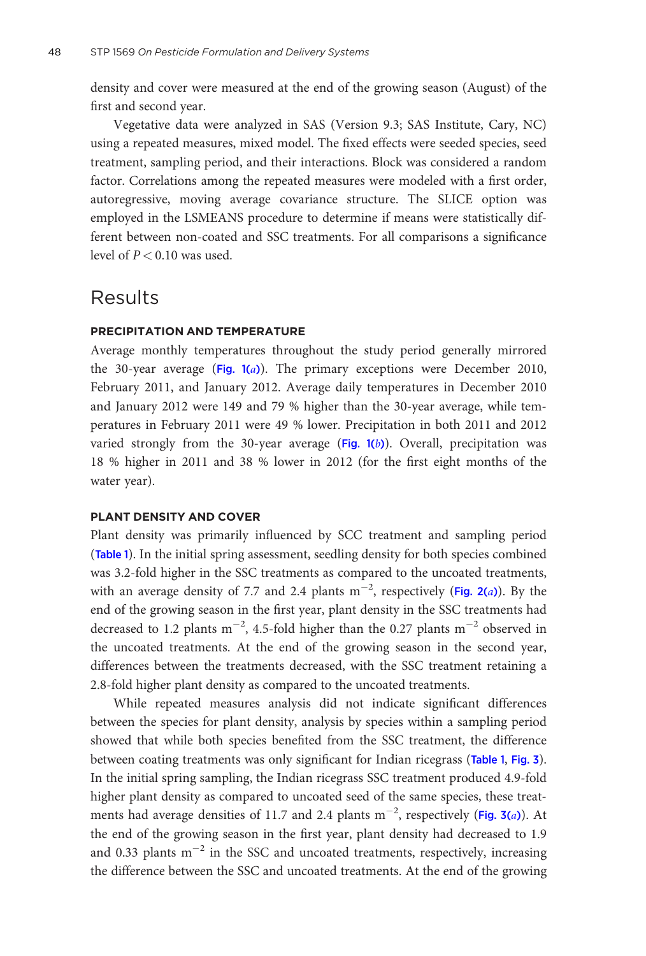density and cover were measured at the end of the growing season (August) of the first and second year.

Vegetative data were analyzed in SAS (Version 9.3; SAS Institute, Cary, NC) using a repeated measures, mixed model. The fixed effects were seeded species, seed treatment, sampling period, and their interactions. Block was considered a random factor. Correlations among the repeated measures were modeled with a first order, autoregressive, moving average covariance structure. The SLICE option was employed in the LSMEANS procedure to determine if means were statistically different between non-coated and SSC treatments. For all comparisons a significance level of  $P < 0.10$  was used.

## Results

### PRECIPITATION AND TEMPERATURE

Average monthly temperatures throughout the study period generally mirrored the 30-year average (Fig.  $1(a)$ ). The primary exceptions were December 2010, February 2011, and January 2012. Average daily temperatures in December 2010 and January 2012 were 149 and 79 % higher than the 30-year average, while temperatures in February 2011 were 49 % lower. Precipitation in both 2011 and 2012 varied strongly from the 30-year average  $(Fig. 1(b))$  $(Fig. 1(b))$  $(Fig. 1(b))$ . Overall, precipitation was 18 % higher in 2011 and 38 % lower in 2012 (for the first eight months of the water year).

### PLANT DENSITY AND COVER

Plant density was primarily influenced by SCC treatment and sampling period (Table [1](#page-6-0)). In the initial spring assessment, seedling density for both species combined was 3.2-fold higher in the SSC treatments as compared to the uncoated treatments, with an average density of 7.7 and 2.4 plants  $m^{-2}$ , respectively (Fig. [2\(](#page-6-0)*a*)). By the end of the growing season in the first year, plant density in the SSC treatments had decreased to 1.2 plants  $m^{-2}$ , 4.5-fold higher than the 0.27 plants  $m^{-2}$  observed in the uncoated treatments. At the end of the growing season in the second year, differences between the treatments decreased, with the SSC treatment retaining a 2.8-fold higher plant density as compared to the uncoated treatments.

While repeated measures analysis did not indicate significant differences between the species for plant density, analysis by species within a sampling period showed that while both species benefited from the SSC treatment, the difference between coating treatments was only significant for Indian ricegrass (Table [1](#page-6-0), Fig. [3](#page-7-0)). In the initial spring sampling, the Indian ricegrass SSC treatment produced 4.9-fold higher plant density as compared to uncoated seed of the same species, these treatments had average densities of 11.7 and 2.4 plants  $\mathrm{m}^{-2}$ , respectively (Fig. [3\(](#page-7-0)a)). At the end of the growing season in the first year, plant density had decreased to 1.9 and 0.33 plants  $m^{-2}$  in the SSC and uncoated treatments, respectively, increasing the difference between the SSC and uncoated treatments. At the end of the growing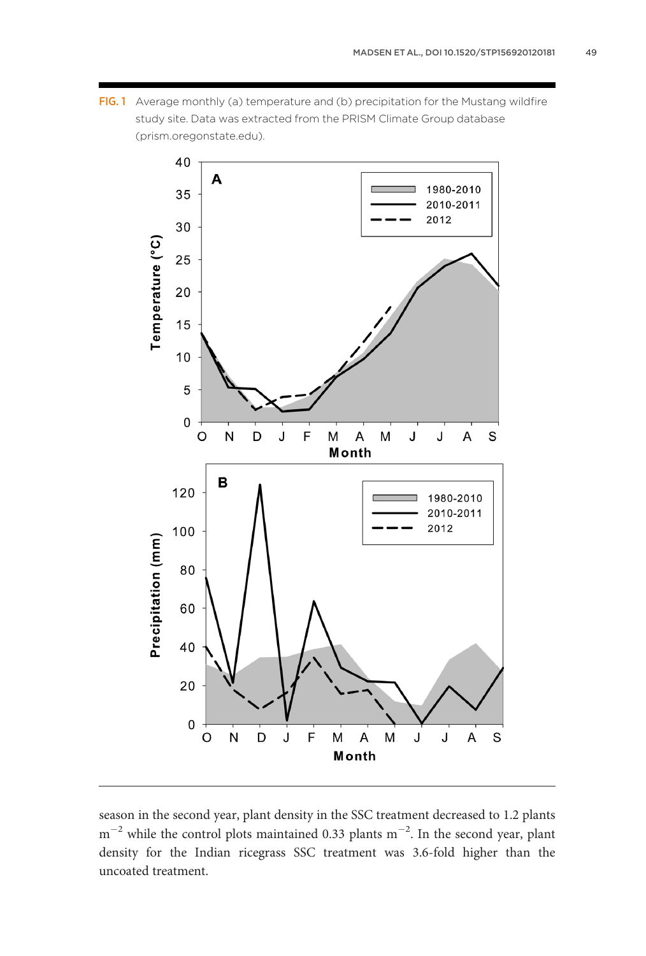<span id="page-5-0"></span>FIG.1 Average monthly (a) temperature and (b) precipitation for the Mustang wildfire study site. Data was extracted from the PRISM Climate Group database (prism.oregonstate.edu).



season in the second year, plant density in the SSC treatment decreased to 1.2 plants  $m^{-2}$  while the control plots maintained 0.33 plants  $m^{-2}$ . In the second year, plant density for the Indian ricegrass SSC treatment was 3.6-fold higher than the uncoated treatment.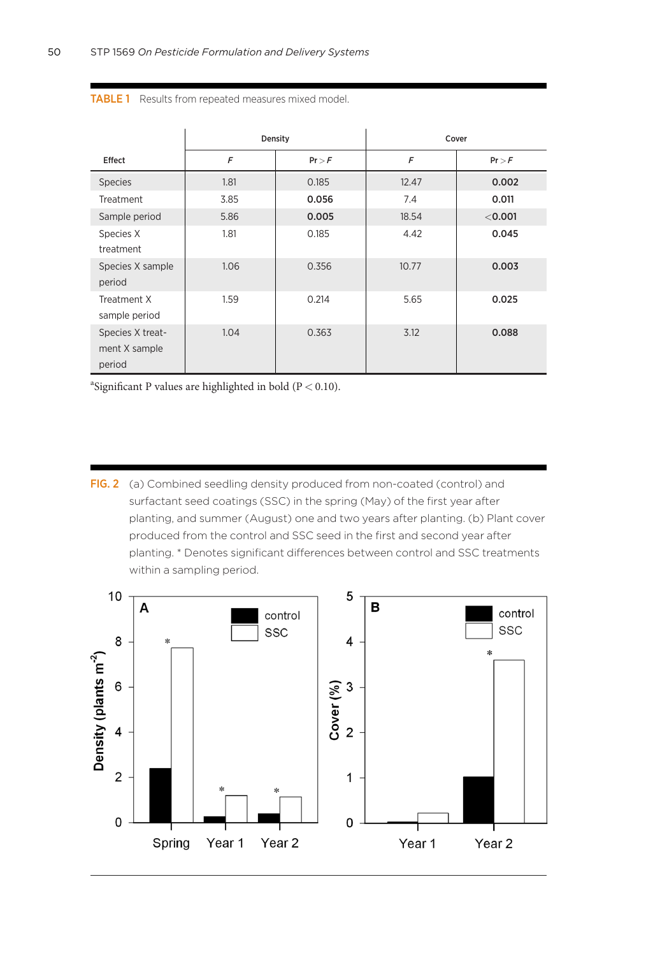|                                             | Density |        | Cover |         |
|---------------------------------------------|---------|--------|-------|---------|
| Effect                                      | F       | Pr > F | F     | Pr > F  |
| <b>Species</b>                              | 1.81    | 0.185  | 12.47 | 0.002   |
| <b>Treatment</b>                            | 3.85    | 0.056  | 7.4   | 0.011   |
| Sample period                               | 5.86    | 0.005  | 18.54 | < 0.001 |
| Species X<br>treatment                      | 1.81    | 0.185  | 4.42  | 0.045   |
| Species X sample<br>period                  | 1.06    | 0.356  | 10.77 | 0.003   |
| Treatment X<br>sample period                | 1.59    | 0.214  | 5.65  | 0.025   |
| Species X treat-<br>ment X sample<br>period | 1.04    | 0.363  | 3.12  | 0.088   |

<span id="page-6-0"></span>TABLE 1 Results from repeated measures mixed model.

<sup>a</sup>Significant P values are highlighted in bold ( $P < 0.10$ ).

FIG. 2 (a) Combined seedling density produced from non-coated (control) and surfactant seed coatings (SSC) in the spring (May) of the first year after planting, and summer (August) one and two years after planting. (b) Plant cover produced from the control and SSC seed in the first and second year after planting. \* Denotes significant differences between control and SSC treatments within a sampling period.

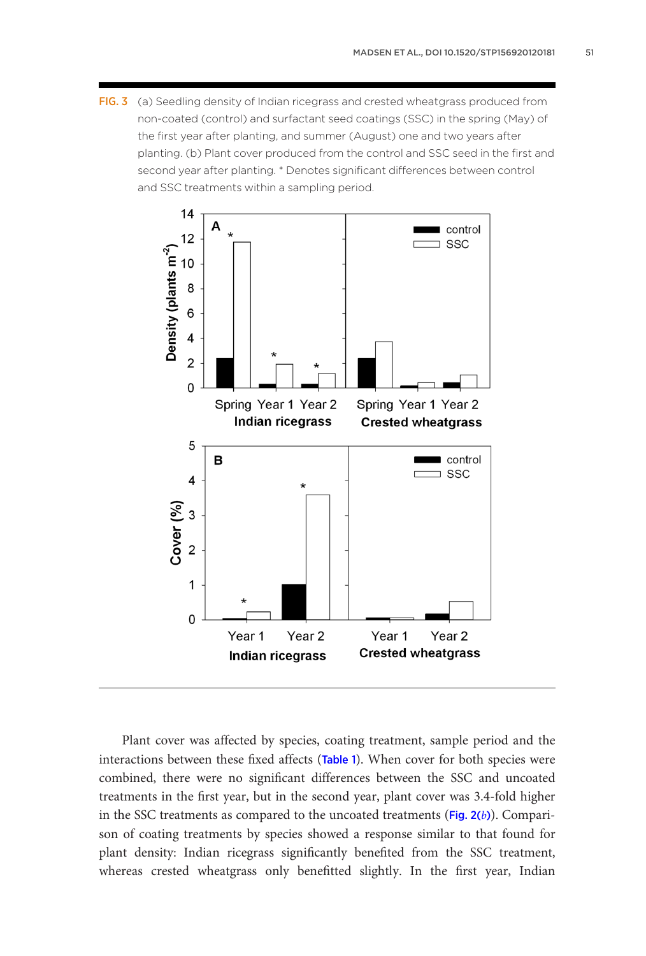<span id="page-7-0"></span>FIG. 3 (a) Seedling density of Indian ricegrass and crested wheatgrass produced from non-coated (control) and surfactant seed coatings (SSC) in the spring (May) of the first year after planting, and summer (August) one and two years after planting. (b) Plant cover produced from the control and SSC seed in the first and second year after planting. \* Denotes significant differences between control and SSC treatments within a sampling period.



Plant cover was affected by species, coating treatment, sample period and the interactions between these fixed affects (Table [1](#page-6-0)). When cover for both species were combined, there were no significant differences between the SSC and uncoated treatments in the first year, but in the second year, plant cover was 3.4-fold higher in the SSC treatments as compared to the uncoated treatments ( $Fig. 2(b)$  $Fig. 2(b)$  $Fig. 2(b)$ ). Comparison of coating treatments by species showed a response similar to that found for plant density: Indian ricegrass significantly benefited from the SSC treatment, whereas crested wheatgrass only benefitted slightly. In the first year, Indian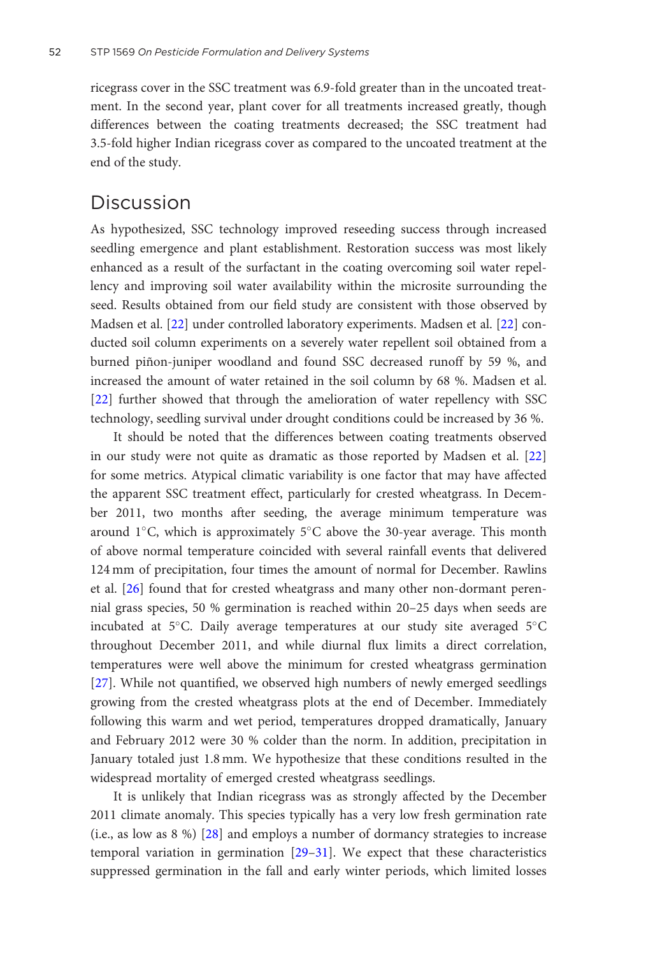ricegrass cover in the SSC treatment was 6.9-fold greater than in the uncoated treatment. In the second year, plant cover for all treatments increased greatly, though differences between the coating treatments decreased; the SSC treatment had 3.5-fold higher Indian ricegrass cover as compared to the uncoated treatment at the end of the study.

## Discussion

As hypothesized, SSC technology improved reseeding success through increased seedling emergence and plant establishment. Restoration success was most likely enhanced as a result of the surfactant in the coating overcoming soil water repellency and improving soil water availability within the microsite surrounding the seed. Results obtained from our field study are consistent with those observed by Madsen et al. [\[22](#page-10-0)] under controlled laboratory experiments. Madsen et al. [[22](#page-10-0)] conducted soil column experiments on a severely water repellent soil obtained from a burned piñon-juniper woodland and found SSC decreased runoff by 59 %, and increased the amount of water retained in the soil column by 68 %. Madsen et al. [\[22](#page-10-0)] further showed that through the amelioration of water repellency with SSC technology, seedling survival under drought conditions could be increased by 36 %.

It should be noted that the differences between coating treatments observed in our study were not quite as dramatic as those reported by Madsen et al. [[22\]](#page-10-0) for some metrics. Atypical climatic variability is one factor that may have affected the apparent SSC treatment effect, particularly for crested wheatgrass. In December 2011, two months after seeding, the average minimum temperature was around  $1^{\circ}$ C, which is approximately  $5^{\circ}$ C above the 30-year average. This month of above normal temperature coincided with several rainfall events that delivered 124 mm of precipitation, four times the amount of normal for December. Rawlins et al. [\[26](#page-11-0)] found that for crested wheatgrass and many other non-dormant perennial grass species, 50 % germination is reached within 20–25 days when seeds are incubated at 5°C. Daily average temperatures at our study site averaged 5°C throughout December 2011, and while diurnal flux limits a direct correlation, temperatures were well above the minimum for crested wheatgrass germination [\[27](#page-11-0)]. While not quantified, we observed high numbers of newly emerged seedlings growing from the crested wheatgrass plots at the end of December. Immediately following this warm and wet period, temperatures dropped dramatically, January and February 2012 were 30 % colder than the norm. In addition, precipitation in January totaled just 1.8 mm. We hypothesize that these conditions resulted in the widespread mortality of emerged crested wheatgrass seedlings.

It is unlikely that Indian ricegrass was as strongly affected by the December 2011 climate anomaly. This species typically has a very low fresh germination rate (i.e., as low as 8 %) [\[28](#page-11-0)] and employs a number of dormancy strategies to increase temporal variation in germination [[29–31\]](#page-11-0). We expect that these characteristics suppressed germination in the fall and early winter periods, which limited losses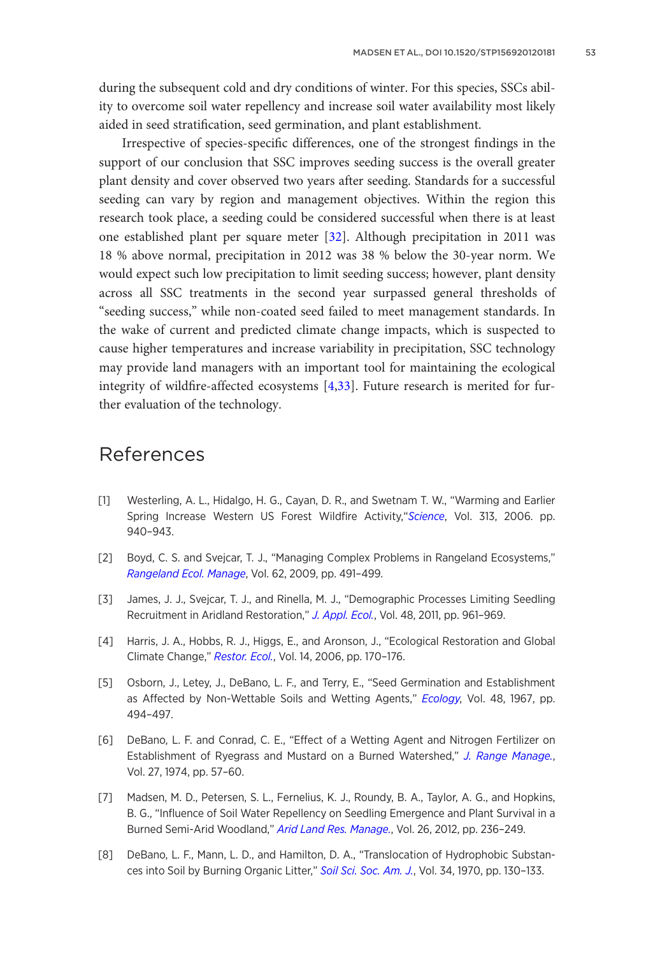<span id="page-9-0"></span>during the subsequent cold and dry conditions of winter. For this species, SSCs ability to overcome soil water repellency and increase soil water availability most likely aided in seed stratification, seed germination, and plant establishment.

Irrespective of species-specific differences, one of the strongest findings in the support of our conclusion that SSC improves seeding success is the overall greater plant density and cover observed two years after seeding. Standards for a successful seeding can vary by region and management objectives. Within the region this research took place, a seeding could be considered successful when there is at least one established plant per square meter [\[32](#page-11-0)]. Although precipitation in 2011 was 18 % above normal, precipitation in 2012 was 38 % below the 30-year norm. We would expect such low precipitation to limit seeding success; however, plant density across all SSC treatments in the second year surpassed general thresholds of "seeding success," while non-coated seed failed to meet management standards. In the wake of current and predicted climate change impacts, which is suspected to cause higher temperatures and increase variability in precipitation, SSC technology may provide land managers with an important tool for maintaining the ecological integrity of wildfire-affected ecosystems [4[,33](#page-11-0)]. Future research is merited for further evaluation of the technology.

# References

- [1] Westerling, A. L., Hidalgo, H. G., Cayan, D. R., and Swetnam T. W., "Warming and Earlier Spring Increase Western US Forest Wildfire Activity,"[Science](http://dx.doi.org/10.1126/science.1128834), Vol. 313, 2006. pp. 940–943.
- [2] Boyd, C. S. and Svejcar, T. J., "Managing Complex Problems in Rangeland Ecosystems," [Rangeland Ecol. Manage](http://dx.doi.org/10.2111/08-194.1), Vol. 62, 2009, pp. 491–499.
- [3] James, J. J., Svejcar, T. J., and Rinella, M. J., "Demographic Processes Limiting Seedling Recruitment in Aridland Restoration," [J. Appl. Ecol.](http://dx.doi.org/10.1111/j.1365-2664.2011.02009.x), Vol. 48, 2011, pp. 961-969.
- [4] Harris, J. A., Hobbs, R. J., Higgs, E., and Aronson, J., "Ecological Restoration and Global Climate Change," [Restor. Ecol.](http://dx.doi.org/10.1111/j.1526-100X.2006.00136.x), Vol. 14, 2006, pp. 170–176.
- [5] Osborn, J., Letey, J., DeBano, L. F., and Terry, E., "Seed Germination and Establishment as Affected by Non-Wettable Soils and Wetting Agents," [Ecology](http://dx.doi.org/10.2307/1932685), Vol. 48, 1967, pp. 494–497.
- [6] DeBano, L. F. and Conrad, C. E., "Effect of a Wetting Agent and Nitrogen Fertilizer on Establishment of Ryegrass and Mustard on a Burned Watershed," [J. Range Manage.](http://dx.doi.org/10.2307/3896442), Vol. 27, 1974, pp. 57–60.
- [7] Madsen, M. D., Petersen, S. L., Fernelius, K. J., Roundy, B. A., Taylor, A. G., and Hopkins, B. G., "Influence of Soil Water Repellency on Seedling Emergence and Plant Survival in a Burned Semi-Arid Woodland," [Arid Land Res. Manage.](http://dx.doi.org/10.1080/15324982.2012.680655), Vol. 26, 2012, pp. 236-249.
- [8] DeBano, L. F., Mann, L. D., and Hamilton, D. A., "Translocation of Hydrophobic Substan-ces into Soil by Burning Organic Litter," [Soil Sci. Soc. Am. J.](http://dx.doi.org/10.2136/sssaj1970.03615995003400010035x), Vol. 34, 1970, pp. 130-133.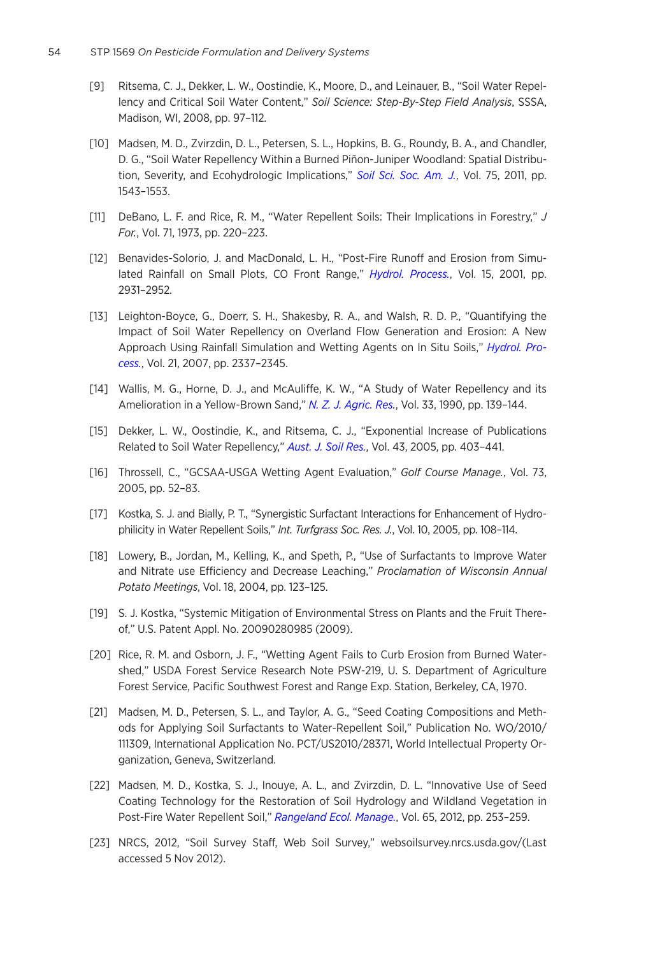- <span id="page-10-0"></span>[9] Ritsema, C. J., Dekker, L. W., Oostindie, K., Moore, D., and Leinauer, B., "Soil Water Repellency and Critical Soil Water Content," Soil Science: Step-By-Step Field Analysis, SSSA, Madison, WI, 2008, pp. 97–112.
- [10] Madsen, M. D., Zvirzdin, D. L., Petersen, S. L., Hopkins, B. G., Roundy, B. A., and Chandler, D. G., "Soil Water Repellency Within a Burned Piñon-Juniper Woodland: Spatial Distribu-tion, Severity, and Ecohydrologic Implications," [Soil Sci. Soc. Am. J.](http://dx.doi.org/10.2136/sssaj2010.0320), Vol. 75, 2011, pp. 1543–1553.
- [11] DeBano, L. F. and Rice, R. M., "Water Repellent Soils: Their Implications in Forestry," J For., Vol. 71, 1973, pp. 220–223.
- [12] Benavides-Solorio, J. and MacDonald, L. H., "Post-Fire Runoff and Erosion from Simu-lated Rainfall on Small Plots, CO Front Range," [Hydrol. Process.](http://dx.doi.org/10.1002/hyp.383), Vol. 15, 2001, pp. 2931–2952.
- [13] Leighton-Boyce, G., Doerr, S. H., Shakesby, R. A., and Walsh, R. D. P., "Quantifying the Impact of Soil Water Repellency on Overland Flow Generation and Erosion: A New Approach Using Rainfall Simulation and Wetting Agents on In Situ Soils," [Hydrol. Pro](http://dx.doi.org/10.1002/hyp.6744)[cess.](http://dx.doi.org/10.1002/hyp.6744), Vol. 21, 2007, pp. 2337–2345.
- [14] Wallis, M. G., Horne, D. J., and McAuliffe, K. W., "A Study of Water Repellency and its Amelioration in a Yellow-Brown Sand," [N. Z. J. Agric. Res.](http://dx.doi.org/10.1080/00288233.1990.10430670), Vol. 33, 1990, pp. 139-144.
- [15] Dekker, L. W., Oostindie, K., and Ritsema, C. J., "Exponential Increase of Publications Related to Soil Water Repellency," [Aust. J. Soil Res.](http://dx.doi.org/10.1071/SR05007), Vol. 43, 2005, pp. 403-441.
- [16] Throssell, C., "GCSAA-USGA Wetting Agent Evaluation," Golf Course Manage., Vol. 73, 2005, pp. 52–83.
- [17] Kostka, S. J. and Bially, P. T., "Synergistic Surfactant Interactions for Enhancement of Hydrophilicity in Water Repellent Soils," Int. Turfgrass Soc. Res. J., Vol. 10, 2005, pp. 108-114.
- [18] Lowery, B., Jordan, M., Kelling, K., and Speth, P., "Use of Surfactants to Improve Water and Nitrate use Efficiency and Decrease Leaching," Proclamation of Wisconsin Annual Potato Meetings, Vol. 18, 2004, pp. 123–125.
- [19] S. J. Kostka, "Systemic Mitigation of Environmental Stress on Plants and the Fruit Thereof," U.S. Patent Appl. No. 20090280985 (2009).
- [20] Rice, R. M. and Osborn, J. F., "Wetting Agent Fails to Curb Erosion from Burned Watershed," USDA Forest Service Research Note PSW-219, U. S. Department of Agriculture Forest Service, Pacific Southwest Forest and Range Exp. Station, Berkeley, CA, 1970.
- [21] Madsen, M. D., Petersen, S. L., and Taylor, A. G., "Seed Coating Compositions and Methods for Applying Soil Surfactants to Water-Repellent Soil," Publication No. WO/2010/ 111309, International Application No. PCT/US2010/28371, World Intellectual Property Organization, Geneva, Switzerland.
- [22] Madsen, M. D., Kostka, S. J., Inouye, A. L., and Zvirzdin, D. L. "Innovative Use of Seed Coating Technology for the Restoration of Soil Hydrology and Wildland Vegetation in Post-Fire Water Repellent Soil," [Rangeland Ecol. Manage.](http://dx.doi.org/10.2111/REM-D-11-00083.1), Vol. 65, 2012, pp. 253-259.
- [23] NRCS, 2012, "Soil Survey Staff, Web Soil Survey," websoilsurvey.nrcs.usda.gov/(Last accessed 5 Nov 2012).